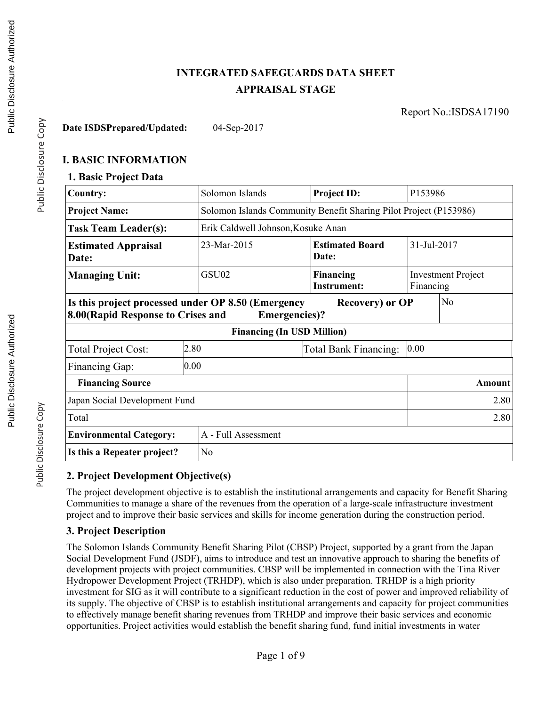# **INTEGRATED SAFEGUARDS DATA SHEET APPRAISAL STAGE**

Report No.:ISDSA17190

**Date ISDSPrepared/Updated:** 04-Sep-2017

### **I. BASIC INFORMATION**

#### **1. Basic Project Data**

| <b>Country:</b>                                                                                                                                                | Solomon Islands                                                                           | <b>Project ID:</b>                                                |  | P153986 |  |  |
|----------------------------------------------------------------------------------------------------------------------------------------------------------------|-------------------------------------------------------------------------------------------|-------------------------------------------------------------------|--|---------|--|--|
| <b>Project Name:</b>                                                                                                                                           |                                                                                           | Solomon Islands Community Benefit Sharing Pilot Project (P153986) |  |         |  |  |
| <b>Task Team Leader(s):</b>                                                                                                                                    |                                                                                           | Erik Caldwell Johnson, Kosuke Anan                                |  |         |  |  |
| <b>Estimated Appraisal</b><br>Date:                                                                                                                            | 23-Mar-2015                                                                               | 31-Jul-2017<br><b>Estimated Board</b><br>Date:                    |  |         |  |  |
| <b>Managing Unit:</b>                                                                                                                                          | GSU02<br><b>Financing</b><br><b>Investment Project</b><br><b>Instrument:</b><br>Financing |                                                                   |  |         |  |  |
| Is this project processed under OP 8.50 (Emergency<br>N <sub>o</sub><br><b>Recovery</b> ) or OP<br>8.00 (Rapid Response to Crises and<br><b>Emergencies</b> )? |                                                                                           |                                                                   |  |         |  |  |
|                                                                                                                                                                | <b>Financing (In USD Million)</b>                                                         |                                                                   |  |         |  |  |
| <b>Total Project Cost:</b>                                                                                                                                     | 2.80<br>0.00<br>Total Bank Financing:                                                     |                                                                   |  |         |  |  |
| 0.00<br>Financing Gap:                                                                                                                                         |                                                                                           |                                                                   |  |         |  |  |
| <b>Financing Source</b><br>Amount                                                                                                                              |                                                                                           |                                                                   |  |         |  |  |
| Japan Social Development Fund<br>2.80                                                                                                                          |                                                                                           |                                                                   |  |         |  |  |
| Total                                                                                                                                                          |                                                                                           |                                                                   |  | 2.80    |  |  |
| <b>Environmental Category:</b>                                                                                                                                 | A - Full Assessment                                                                       |                                                                   |  |         |  |  |
| Is this a Repeater project?                                                                                                                                    | N <sub>o</sub>                                                                            |                                                                   |  |         |  |  |

### **2. Project Development Objective(s)**

The project development objective is to establish the institutional arrangements and capacity for Benefit Sharing Communities to manage a share of the revenues from the operation of a large-scale infrastructure investment project and to improve their basic services and skills for income generation during the construction period.

### **3. Project Description**

The Solomon Islands Community Benefit Sharing Pilot (CBSP) Project, supported by a grant from the Japan Social Development Fund (JSDF), aims to introduce and test an innovative approach to sharing the benefits of development projects with project communities. CBSP will be implemented in connection with the Tina River Hydropower Development Project (TRHDP), which is also under preparation. TRHDP is a high priority investment for SIG as it will contribute to a significant reduction in the cost of power and improved reliability of its supply. The objective of CBSP is to establish institutional arrangements and capacity for project communities to effectively manage benefit sharing revenues from TRHDP and improve their basic services and economic opportunities. Project activities would establish the benefit sharing fund, fund initial investments in water

Public Disclosure Copy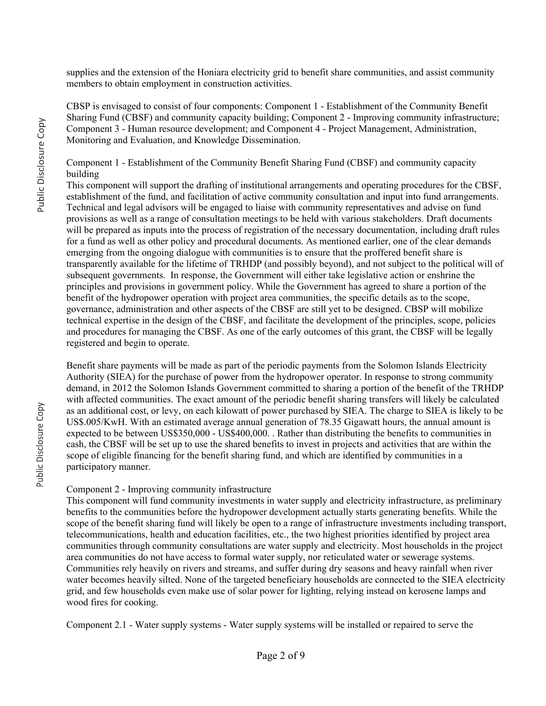supplies and the extension of the Honiara electricity grid to benefit share communities, and assist community members to obtain employment in construction activities.

CBSP is envisaged to consist of four components: Component 1 - Establishment of the Community Benefit Sharing Fund (CBSF) and community capacity building; Component 2 - Improving community infrastructure; Component 3 - Human resource development; and Component 4 - Project Management, Administration, Monitoring and Evaluation, and Knowledge Dissemination.

Component 1 - Establishment of the Community Benefit Sharing Fund (CBSF) and community capacity building

This component will support the drafting of institutional arrangements and operating procedures for the CBSF, establishment of the fund, and facilitation of active community consultation and input into fund arrangements. Technical and legal advisors will be engaged to liaise with community representatives and advise on fund provisions as well as a range of consultation meetings to be held with various stakeholders. Draft documents will be prepared as inputs into the process of registration of the necessary documentation, including draft rules for a fund as well as other policy and procedural documents. As mentioned earlier, one of the clear demands emerging from the ongoing dialogue with communities is to ensure that the proffered benefit share is transparently available for the lifetime of TRHDP (and possibly beyond), and not subject to the political will of subsequent governments. In response, the Government will either take legislative action or enshrine the principles and provisions in government policy. While the Government has agreed to share a portion of the benefit of the hydropower operation with project area communities, the specific details as to the scope, governance, administration and other aspects of the CBSF are still yet to be designed. CBSP will mobilize technical expertise in the design of the CBSF, and facilitate the development of the principles, scope, policies and procedures for managing the CBSF. As one of the early outcomes of this grant, the CBSF will be legally registered and begin to operate.

Benefit share payments will be made as part of the periodic payments from the Solomon Islands Electricity Authority (SIEA) for the purchase of power from the hydropower operator. In response to strong community demand, in 2012 the Solomon Islands Government committed to sharing a portion of the benefit of the TRHDP with affected communities. The exact amount of the periodic benefit sharing transfers will likely be calculated as an additional cost, or levy, on each kilowatt of power purchased by SIEA. The charge to SIEA is likely to be US\$.005/KwH. With an estimated average annual generation of 78.35 Gigawatt hours, the annual amount is expected to be between US\$350,000 - US\$400,000. . Rather than distributing the benefits to communities in cash, the CBSF will be set up to use the shared benefits to invest in projects and activities that are within the scope of eligible financing for the benefit sharing fund, and which are identified by communities in a participatory manner.

#### Component 2 - Improving community infrastructure

This component will fund community investments in water supply and electricity infrastructure, as preliminary benefits to the communities before the hydropower development actually starts generating benefits. While the scope of the benefit sharing fund will likely be open to a range of infrastructure investments including transport, telecommunications, health and education facilities, etc., the two highest priorities identified by project area communities through community consultations are water supply and electricity. Most households in the project area communities do not have access to formal water supply, nor reticulated water or sewerage systems. Communities rely heavily on rivers and streams, and suffer during dry seasons and heavy rainfall when river water becomes heavily silted. None of the targeted beneficiary households are connected to the SIEA electricity grid, and few households even make use of solar power for lighting, relying instead on kerosene lamps and wood fires for cooking.

Component 2.1 - Water supply systems - Water supply systems will be installed or repaired to serve the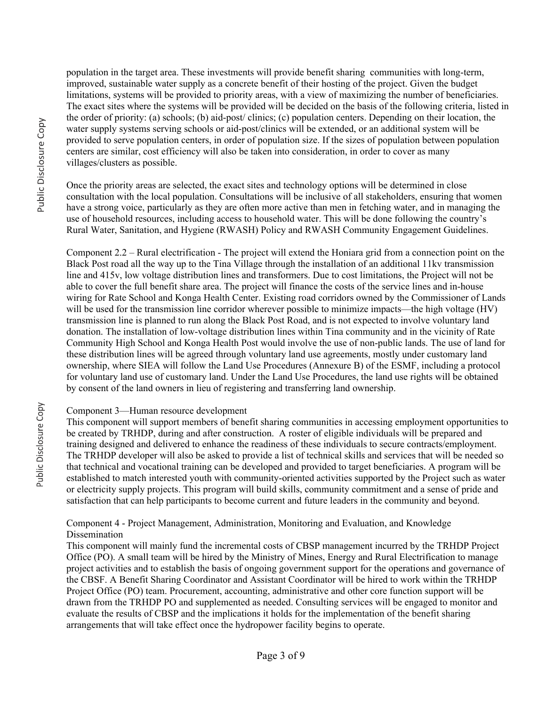population in the target area. These investments will provide benefit sharing communities with long-term, improved, sustainable water supply as a concrete benefit of their hosting of the project. Given the budget limitations, systems will be provided to priority areas, with a view of maximizing the number of beneficiaries. The exact sites where the systems will be provided will be decided on the basis of the following criteria, listed in the order of priority: (a) schools; (b) aid-post/ clinics; (c) population centers. Depending on their location, the water supply systems serving schools or aid-post/clinics will be extended, or an additional system will be provided to serve population centers, in order of population size. If the sizes of population between population centers are similar, cost efficiency will also be taken into consideration, in order to cover as many villages/clusters as possible.

Once the priority areas are selected, the exact sites and technology options will be determined in close consultation with the local population. Consultations will be inclusive of all stakeholders, ensuring that women have a strong voice, particularly as they are often more active than men in fetching water, and in managing the use of household resources, including access to household water. This will be done following the country's Rural Water, Sanitation, and Hygiene (RWASH) Policy and RWASH Community Engagement Guidelines.

Component 2.2 – Rural electrification - The project will extend the Honiara grid from a connection point on the Black Post road all the way up to the Tina Village through the installation of an additional 11kv transmission line and 415v, low voltage distribution lines and transformers. Due to cost limitations, the Project will not be able to cover the full benefit share area. The project will finance the costs of the service lines and in-house wiring for Rate School and Konga Health Center. Existing road corridors owned by the Commissioner of Lands will be used for the transmission line corridor wherever possible to minimize impacts—the high voltage (HV) transmission line is planned to run along the Black Post Road, and is not expected to involve voluntary land donation. The installation of low-voltage distribution lines within Tina community and in the vicinity of Rate Community High School and Konga Health Post would involve the use of non-public lands. The use of land for these distribution lines will be agreed through voluntary land use agreements, mostly under customary land ownership, where SIEA will follow the Land Use Procedures (Annexure B) of the ESMF, including a protocol for voluntary land use of customary land. Under the Land Use Procedures, the land use rights will be obtained by consent of the land owners in lieu of registering and transferring land ownership.

#### Component 3—Human resource development

This component will support members of benefit sharing communities in accessing employment opportunities to be created by TRHDP, during and after construction. A roster of eligible individuals will be prepared and training designed and delivered to enhance the readiness of these individuals to secure contracts/employment. The TRHDP developer will also be asked to provide a list of technical skills and services that will be needed so that technical and vocational training can be developed and provided to target beneficiaries. A program will be established to match interested youth with community-oriented activities supported by the Project such as water or electricity supply projects. This program will build skills, community commitment and a sense of pride and satisfaction that can help participants to become current and future leaders in the community and beyond.

Component 4 - Project Management, Administration, Monitoring and Evaluation, and Knowledge Dissemination

This component will mainly fund the incremental costs of CBSP management incurred by the TRHDP Project Office (PO). A small team will be hired by the Ministry of Mines, Energy and Rural Electrification to manage project activities and to establish the basis of ongoing government support for the operations and governance of the CBSF. A Benefit Sharing Coordinator and Assistant Coordinator will be hired to work within the TRHDP Project Office (PO) team. Procurement, accounting, administrative and other core function support will be drawn from the TRHDP PO and supplemented as needed. Consulting services will be engaged to monitor and evaluate the results of CBSP and the implications it holds for the implementation of the benefit sharing arrangements that will take effect once the hydropower facility begins to operate.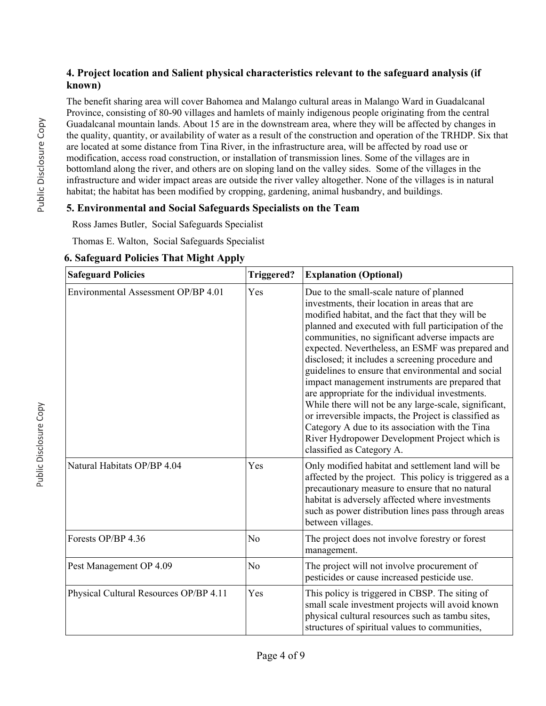### **4. Project location and Salient physical characteristics relevant to the safeguard analysis (if known)**

The benefit sharing area will cover Bahomea and Malango cultural areas in Malango Ward in Guadalcanal Province, consisting of 80-90 villages and hamlets of mainly indigenous people originating from the central Guadalcanal mountain lands. About 15 are in the downstream area, where they will be affected by changes in the quality, quantity, or availability of water as a result of the construction and operation of the TRHDP. Six that are located at some distance from Tina River, in the infrastructure area, will be affected by road use or modification, access road construction, or installation of transmission lines. Some of the villages are in bottomland along the river, and others are on sloping land on the valley sides. Some of the villages in the infrastructure and wider impact areas are outside the river valley altogether. None of the villages is in natural habitat; the habitat has been modified by cropping, gardening, animal husbandry, and buildings.

### **5. Environmental and Social Safeguards Specialists on the Team**

Ross James Butler, Social Safeguards Specialist

Thomas E. Walton, Social Safeguards Specialist

|                            | <b>0. Saleguard Policies That Might Apply</b> |  |  |
|----------------------------|-----------------------------------------------|--|--|
| $\sqrt{2}$<br>$\mathbf{r}$ |                                               |  |  |

**6. Safeguard Policies That Might Apply**

| <b>Safeguard Policies</b>              | Triggered?     | <b>Explanation (Optional)</b>                                                                                                                                                                                                                                                                                                                                                                                                                                                                                                                                                                                                                                                                                                                                                  |
|----------------------------------------|----------------|--------------------------------------------------------------------------------------------------------------------------------------------------------------------------------------------------------------------------------------------------------------------------------------------------------------------------------------------------------------------------------------------------------------------------------------------------------------------------------------------------------------------------------------------------------------------------------------------------------------------------------------------------------------------------------------------------------------------------------------------------------------------------------|
| Environmental Assessment OP/BP 4.01    | Yes            | Due to the small-scale nature of planned<br>investments, their location in areas that are<br>modified habitat, and the fact that they will be<br>planned and executed with full participation of the<br>communities, no significant adverse impacts are<br>expected. Nevertheless, an ESMF was prepared and<br>disclosed; it includes a screening procedure and<br>guidelines to ensure that environmental and social<br>impact management instruments are prepared that<br>are appropriate for the individual investments.<br>While there will not be any large-scale, significant,<br>or irreversible impacts, the Project is classified as<br>Category A due to its association with the Tina<br>River Hydropower Development Project which is<br>classified as Category A. |
| Natural Habitats OP/BP 4.04            | Yes            | Only modified habitat and settlement land will be<br>affected by the project. This policy is triggered as a<br>precautionary measure to ensure that no natural<br>habitat is adversely affected where investments<br>such as power distribution lines pass through areas<br>between villages.                                                                                                                                                                                                                                                                                                                                                                                                                                                                                  |
| Forests OP/BP 4.36                     | N <sub>o</sub> | The project does not involve forestry or forest<br>management.                                                                                                                                                                                                                                                                                                                                                                                                                                                                                                                                                                                                                                                                                                                 |
| Pest Management OP 4.09                | N <sub>0</sub> | The project will not involve procurement of<br>pesticides or cause increased pesticide use.                                                                                                                                                                                                                                                                                                                                                                                                                                                                                                                                                                                                                                                                                    |
| Physical Cultural Resources OP/BP 4.11 | Yes            | This policy is triggered in CBSP. The siting of<br>small scale investment projects will avoid known<br>physical cultural resources such as tambu sites,<br>structures of spiritual values to communities,                                                                                                                                                                                                                                                                                                                                                                                                                                                                                                                                                                      |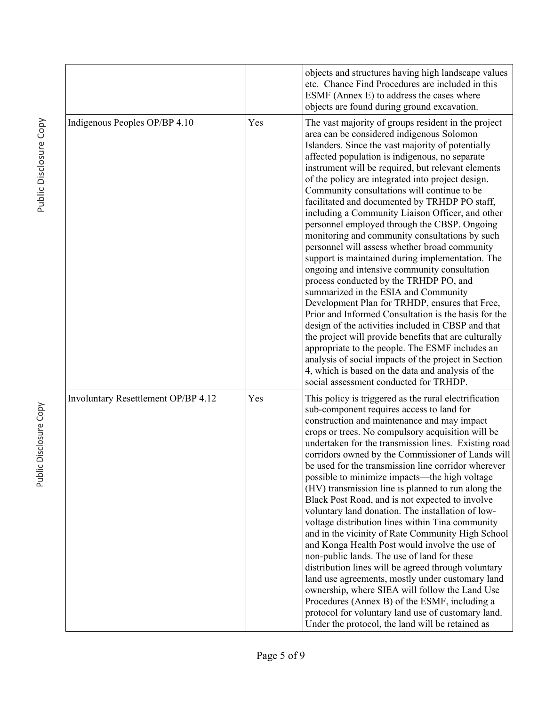|                                     |     | objects and structures having high landscape values<br>etc. Chance Find Procedures are included in this<br>ESMF (Annex E) to address the cases where<br>objects are found during ground excavation.                                                                                                                                                                                                                                                                                                                                                                                                                                                                                                                                                                                                                                                                                                                                                                                                                                                                                                                                                                                                                                                |
|-------------------------------------|-----|----------------------------------------------------------------------------------------------------------------------------------------------------------------------------------------------------------------------------------------------------------------------------------------------------------------------------------------------------------------------------------------------------------------------------------------------------------------------------------------------------------------------------------------------------------------------------------------------------------------------------------------------------------------------------------------------------------------------------------------------------------------------------------------------------------------------------------------------------------------------------------------------------------------------------------------------------------------------------------------------------------------------------------------------------------------------------------------------------------------------------------------------------------------------------------------------------------------------------------------------------|
| Indigenous Peoples OP/BP 4.10       | Yes | The vast majority of groups resident in the project<br>area can be considered indigenous Solomon<br>Islanders. Since the vast majority of potentially<br>affected population is indigenous, no separate<br>instrument will be required, but relevant elements<br>of the policy are integrated into project design.<br>Community consultations will continue to be<br>facilitated and documented by TRHDP PO staff,<br>including a Community Liaison Officer, and other<br>personnel employed through the CBSP. Ongoing<br>monitoring and community consultations by such<br>personnel will assess whether broad community<br>support is maintained during implementation. The<br>ongoing and intensive community consultation<br>process conducted by the TRHDP PO, and<br>summarized in the ESIA and Community<br>Development Plan for TRHDP, ensures that Free,<br>Prior and Informed Consultation is the basis for the<br>design of the activities included in CBSP and that<br>the project will provide benefits that are culturally<br>appropriate to the people. The ESMF includes an<br>analysis of social impacts of the project in Section<br>4, which is based on the data and analysis of the<br>social assessment conducted for TRHDP. |
| Involuntary Resettlement OP/BP 4.12 | Yes | This policy is triggered as the rural electrification<br>sub-component requires access to land for<br>construction and maintenance and may impact<br>crops or trees. No compulsory acquisition will be<br>undertaken for the transmission lines. Existing road<br>corridors owned by the Commissioner of Lands will<br>be used for the transmission line corridor wherever<br>possible to minimize impacts—the high voltage<br>(HV) transmission line is planned to run along the<br>Black Post Road, and is not expected to involve<br>voluntary land donation. The installation of low-<br>voltage distribution lines within Tina community<br>and in the vicinity of Rate Community High School<br>and Konga Health Post would involve the use of<br>non-public lands. The use of land for these<br>distribution lines will be agreed through voluntary<br>land use agreements, mostly under customary land<br>ownership, where SIEA will follow the Land Use<br>Procedures (Annex B) of the ESMF, including a<br>protocol for voluntary land use of customary land.<br>Under the protocol, the land will be retained as                                                                                                                        |

Public Disclosure Copy

Public Disclosure Copy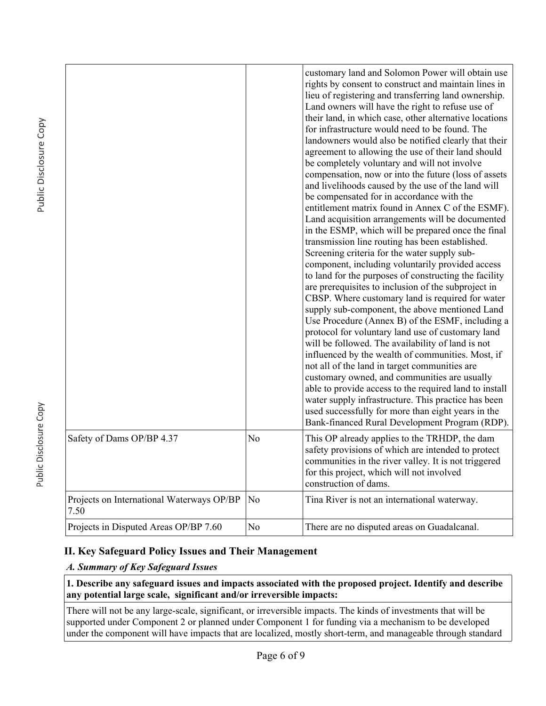|                                                   |                | customary land and Solomon Power will obtain use<br>rights by consent to construct and maintain lines in<br>lieu of registering and transferring land ownership.<br>Land owners will have the right to refuse use of<br>their land, in which case, other alternative locations<br>for infrastructure would need to be found. The<br>landowners would also be notified clearly that their<br>agreement to allowing the use of their land should<br>be completely voluntary and will not involve<br>compensation, now or into the future (loss of assets<br>and livelihoods caused by the use of the land will<br>be compensated for in accordance with the<br>entitlement matrix found in Annex C of the ESMF).<br>Land acquisition arrangements will be documented<br>in the ESMP, which will be prepared once the final<br>transmission line routing has been established.<br>Screening criteria for the water supply sub-<br>component, including voluntarily provided access<br>to land for the purposes of constructing the facility<br>are prerequisites to inclusion of the subproject in<br>CBSP. Where customary land is required for water<br>supply sub-component, the above mentioned Land<br>Use Procedure (Annex B) of the ESMF, including a<br>protocol for voluntary land use of customary land<br>will be followed. The availability of land is not<br>influenced by the wealth of communities. Most, if<br>not all of the land in target communities are<br>customary owned, and communities are usually<br>able to provide access to the required land to install<br>water supply infrastructure. This practice has been<br>used successfully for more than eight years in the<br>Bank-financed Rural Development Program (RDP). |
|---------------------------------------------------|----------------|----------------------------------------------------------------------------------------------------------------------------------------------------------------------------------------------------------------------------------------------------------------------------------------------------------------------------------------------------------------------------------------------------------------------------------------------------------------------------------------------------------------------------------------------------------------------------------------------------------------------------------------------------------------------------------------------------------------------------------------------------------------------------------------------------------------------------------------------------------------------------------------------------------------------------------------------------------------------------------------------------------------------------------------------------------------------------------------------------------------------------------------------------------------------------------------------------------------------------------------------------------------------------------------------------------------------------------------------------------------------------------------------------------------------------------------------------------------------------------------------------------------------------------------------------------------------------------------------------------------------------------------------------------------------------------------------------------------------------------------------------|
| Safety of Dams OP/BP 4.37                         | No             | This OP already applies to the TRHDP, the dam<br>safety provisions of which are intended to protect<br>communities in the river valley. It is not triggered<br>for this project, which will not involved<br>construction of dams.                                                                                                                                                                                                                                                                                                                                                                                                                                                                                                                                                                                                                                                                                                                                                                                                                                                                                                                                                                                                                                                                                                                                                                                                                                                                                                                                                                                                                                                                                                                  |
| Projects on International Waterways OP/BP<br>7.50 | N <sub>0</sub> | Tina River is not an international waterway.                                                                                                                                                                                                                                                                                                                                                                                                                                                                                                                                                                                                                                                                                                                                                                                                                                                                                                                                                                                                                                                                                                                                                                                                                                                                                                                                                                                                                                                                                                                                                                                                                                                                                                       |
| Projects in Disputed Areas OP/BP 7.60             | No             | There are no disputed areas on Guadalcanal.                                                                                                                                                                                                                                                                                                                                                                                                                                                                                                                                                                                                                                                                                                                                                                                                                                                                                                                                                                                                                                                                                                                                                                                                                                                                                                                                                                                                                                                                                                                                                                                                                                                                                                        |

## **II. Key Safeguard Policy Issues and Their Management**

### *A. Summary of Key Safeguard Issues*

#### **1. Describe any safeguard issues and impacts associated with the proposed project. Identify and describe any potential large scale, significant and/or irreversible impacts:**

There will not be any large-scale, significant, or irreversible impacts. The kinds of investments that will be supported under Component 2 or planned under Component 1 for funding via a mechanism to be developed under the component will have impacts that are localized, mostly short-term, and manageable through standard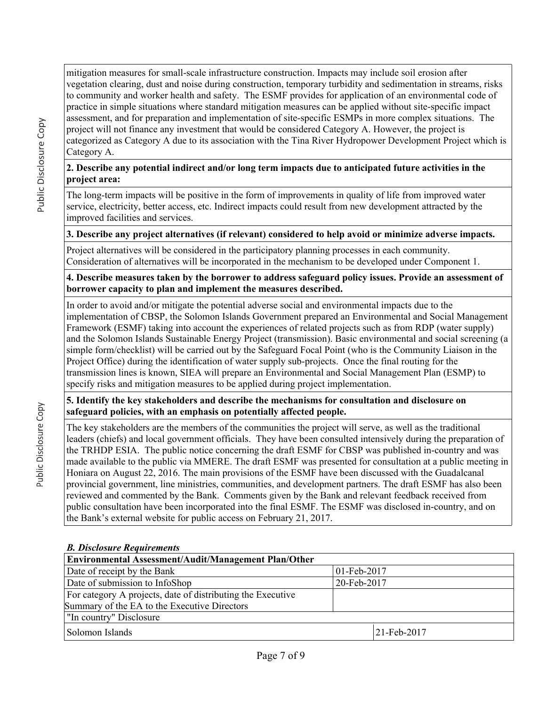mitigation measures for small-scale infrastructure construction. Impacts may include soil erosion after vegetation clearing, dust and noise during construction, temporary turbidity and sedimentation in streams, risks to community and worker health and safety. The ESMF provides for application of an environmental code of practice in simple situations where standard mitigation measures can be applied without site-specific impact assessment, and for preparation and implementation of site-specific ESMPs in more complex situations. The project will not finance any investment that would be considered Category A. However, the project is categorized as Category A due to its association with the Tina River Hydropower Development Project which is Category A.

### **2. Describe any potential indirect and/or long term impacts due to anticipated future activities in the project area:**

The long-term impacts will be positive in the form of improvements in quality of life from improved water service, electricity, better access, etc. Indirect impacts could result from new development attracted by the improved facilities and services.

### **3. Describe any project alternatives (if relevant) considered to help avoid or minimize adverse impacts.**

Project alternatives will be considered in the participatory planning processes in each community. Consideration of alternatives will be incorporated in the mechanism to be developed under Component 1.

**4. Describe measures taken by the borrower to address safeguard policy issues. Provide an assessment of borrower capacity to plan and implement the measures described.**

In order to avoid and/or mitigate the potential adverse social and environmental impacts due to the implementation of CBSP, the Solomon Islands Government prepared an Environmental and Social Management Framework (ESMF) taking into account the experiences of related projects such as from RDP (water supply) and the Solomon Islands Sustainable Energy Project (transmission). Basic environmental and social screening (a simple form/checklist) will be carried out by the Safeguard Focal Point (who is the Community Liaison in the Project Office) during the identification of water supply sub-projects. Once the final routing for the transmission lines is known, SIEA will prepare an Environmental and Social Management Plan (ESMP) to specify risks and mitigation measures to be applied during project implementation.

### **5. Identify the key stakeholders and describe the mechanisms for consultation and disclosure on safeguard policies, with an emphasis on potentially affected people.**

The key stakeholders are the members of the communities the project will serve, as well as the traditional leaders (chiefs) and local government officials. They have been consulted intensively during the preparation of the TRHDP ESIA. The public notice concerning the draft ESMF for CBSP was published in-country and was made available to the public via MMERE. The draft ESMF was presented for consultation at a public meeting in Honiara on August 22, 2016. The main provisions of the ESMF have been discussed with the Guadalcanal provincial government, line ministries, communities, and development partners. The draft ESMF has also been reviewed and commented by the Bank. Comments given by the Bank and relevant feedback received from public consultation have been incorporated into the final ESMF. The ESMF was disclosed in-country, and on the Bank's external website for public access on February 21, 2017.

### *B. Disclosure Requirements*

| Environmental Assessment/Audit/Management Plan/Other        |                |  |  |  |  |
|-------------------------------------------------------------|----------------|--|--|--|--|
| Date of receipt by the Bank                                 | $01$ -Feb-2017 |  |  |  |  |
| Date of submission to InfoShop<br>20-Feb-2017               |                |  |  |  |  |
| For category A projects, date of distributing the Executive |                |  |  |  |  |
| Summary of the EA to the Executive Directors                |                |  |  |  |  |
| "In country" Disclosure                                     |                |  |  |  |  |
| Solomon Islands                                             | 21-Feb-2017    |  |  |  |  |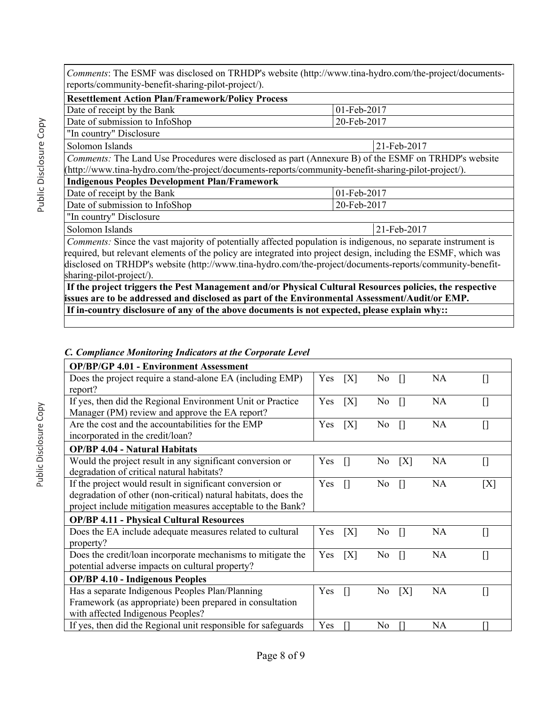*Comments*: The ESMF was disclosed on TRHDP's website (http://www.tina-hydro.com/the-project/documentsreports/community-benefit-sharing-pilot-project/).

| <b>Resettlement Action Plan/Framework/Policy Process</b>                                                             |             |  |  |  |  |
|----------------------------------------------------------------------------------------------------------------------|-------------|--|--|--|--|
| Date of receipt by the Bank                                                                                          | 01-Feb-2017 |  |  |  |  |
| Date of submission to InfoShop                                                                                       | 20-Feb-2017 |  |  |  |  |
| "In country" Disclosure                                                                                              |             |  |  |  |  |
| Solomon Islands<br>21-Feb-2017                                                                                       |             |  |  |  |  |
| Comments: The Land Use Procedures were disclosed as part (Annexure B) of the ESMF on TRHDP's website                 |             |  |  |  |  |
| (http://www.tina-hydro.com/the-project/documents-reports/community-benefit-sharing-pilot-project/).                  |             |  |  |  |  |
| <b>Indigenous Peoples Development Plan/Framework</b>                                                                 |             |  |  |  |  |
| Date of receipt by the Bank                                                                                          | 01-Feb-2017 |  |  |  |  |
| Date of submission to InfoShop                                                                                       | 20-Feb-2017 |  |  |  |  |
| "In country" Disclosure                                                                                              |             |  |  |  |  |
| Solomon Islands<br>21-Feb-2017                                                                                       |             |  |  |  |  |
| <i>Comments:</i> Since the vast majority of potentially affected population is indigenous, no separate instrument is |             |  |  |  |  |
| required, but relevant elements of the policy are integrated into project design, including the ESMF, which was      |             |  |  |  |  |
| disclosed on TRHDP's website (http://www.tina.bydro.com/the.project/documents.compts/community.benefit               |             |  |  |  |  |

on TRHDP's website (http://www.tina-hydro.com/the-project/documents-reports/community-benefitsharing-pilot-project/).  **If the project triggers the Pest Management and/or Physical Cultural Resources policies, the respective** 

**issues are to be addressed and disclosed as part of the Environmental Assessment/Audit/or EMP. If in-country disclosure of any of the above documents is not expected, please explain why::**

#### *C. Compliance Monitoring Indicators at the Corporate Level* **OP/BP/GP 4.01 - Environment Assessment** Does the project require a stand-alone EA (including EMP) report? Yes [X] No [] NA [] If yes, then did the Regional Environment Unit or Practice Manager (PM) review and approve the EA report? Yes [X] No [] NA [] Are the cost and the accountabilities for the EMP incorporated in the credit/loan? Yes  $[X]$  No  $[$  NA  $[$ **OP/BP 4.04 - Natural Habitats** Would the project result in any significant conversion or degradation of critical natural habitats? Yes  $[$  No  $[X]$  NA  $[$ If the project would result in significant conversion or degradation of other (non-critical) natural habitats, does the project include mitigation measures acceptable to the Bank?

| If the project would result in significant conversion or<br>degradation of other (non-critical) natural habitats, does the<br>project include mitigation measures acceptable to the Bank? |     |     | No.            |   | NA | ſΧ |
|-------------------------------------------------------------------------------------------------------------------------------------------------------------------------------------------|-----|-----|----------------|---|----|----|
| <b>OP/BP 4.11 - Physical Cultural Resources</b>                                                                                                                                           |     |     |                |   |    |    |
| Does the EA include adequate measures related to cultural<br>property?                                                                                                                    | Yes | [X] | No.            |   | NA |    |
| Does the credit/loan incorporate mechanisms to mitigate the<br>potential adverse impacts on cultural property?                                                                            | Yes | ΓXΊ | No.            |   | NA |    |
| <b>OP/BP 4.10 - Indigenous Peoples</b>                                                                                                                                                    |     |     |                |   |    |    |
| Has a separate Indigenous Peoples Plan/Planning<br>Framework (as appropriate) been prepared in consultation<br>with affected Indigenous Peoples?                                          | Yes |     | N <sub>0</sub> | X | NA |    |
| If yes, then did the Regional unit responsible for safeguards                                                                                                                             | Yes |     | No.            |   | NA |    |